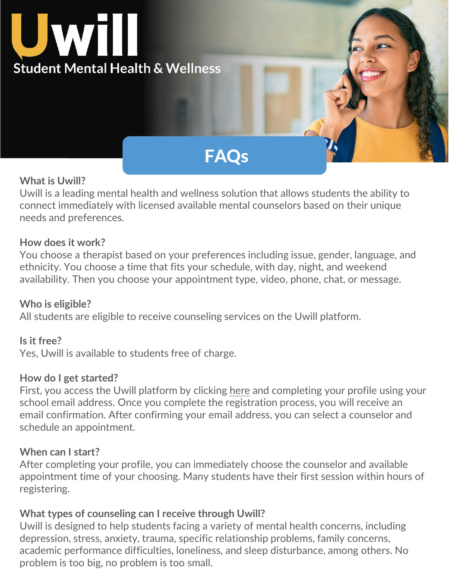

# **FAQs**

#### **What is Uwill?**

Uwill is a leading mental health and wellness solution that allows students the ability to connect immediately with licensed available mental counselors based on their unique needs and preferences.

#### **How does it work?**

You choose a therapist based on your preferences including issue, gender, language, and ethnicity. You choose a time that fits your schedule, with day, night, and weekend availability. Then you choose your appointment type, video, phone, chat, or message.

#### **Who is eligible?**

All students are eligible to receive counseling services on the Uwill platform.

#### **Is it free?**

Yes, Uwill is available to students free of charge.

#### **How do I get started?**

First, you access the Uwill platform by clicking [here](http://app.uwill.com/) and completing your profile using your school email address. Once you complete the registration process, you will receive an email confirmation. After confirming your email address, you can select a counselor and schedule an appointment.

#### **When can I start?**

After completing your profile, you can immediately choose the counselor and available appointment time of your choosing. Many students have their first session within hours of registering.

#### **What types of counseling can I receive through Uwill?**

Uwill is designed to help students facing a variety of mental health concerns, including depression, stress, anxiety, trauma, specific relationship problems, family concerns, academic performance difficulties, loneliness, and sleep disturbance, among others. No problem is too big, no problem is too small.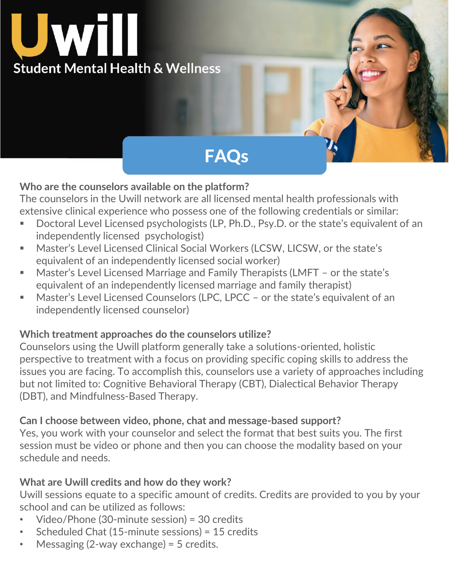

# **FAQs**

### **Who are the counselors available on the platform?**

The counselors in the Uwill network are all licensed mental health professionals with extensive clinical experience who possess one of the following credentials or similar:

- Doctoral Level Licensed psychologists (LP, Ph.D., Psy.D. or the state's equivalent of an independently licensed psychologist)
- Master's Level Licensed Clinical Social Workers (LCSW, LICSW, or the state's equivalent of an independently licensed social worker)
- Master's Level Licensed Marriage and Family Therapists (LMFT or the state's equivalent of an independently licensed marriage and family therapist)
- Master's Level Licensed Counselors (LPC, LPCC or the state's equivalent of an independently licensed counselor)

### **Which treatment approaches do the counselors utilize?**

Counselors using the Uwill platform generally take a solutions-oriented, holistic perspective to treatment with a focus on providing specific coping skills to address the issues you are facing. To accomplish this, counselors use a variety of approaches including but not limited to: Cognitive Behavioral Therapy (CBT), Dialectical Behavior Therapy (DBT), and Mindfulness-Based Therapy.

#### **Can I choose between video, phone, chat and message-based support?**

Yes, you work with your counselor and select the format that best suits you. The first session must be video or phone and then you can choose the modality based on your schedule and needs.

#### **What are Uwill credits and how do they work?**

Uwill sessions equate to a specific amount of credits. Credits are provided to you by your school and can be utilized as follows:

- Video/Phone (30-minute session) = 30 credits
- Scheduled Chat (15-minute sessions) = 15 credits
- Messaging  $(2$ -way exchange) = 5 credits.